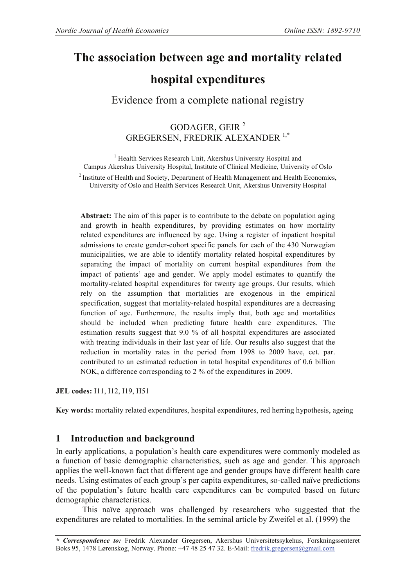# **The association between age and mortality related**

# **hospital expenditures**

## Evidence from a complete national registry

## GODAGER, GEIR <sup>2</sup> GREGERSEN, FREDRIK ALEXANDER<sup>1,\*</sup>

<sup>1</sup> Health Services Research Unit, Akershus University Hospital and Campus Akershus University Hospital, Institute of Clinical Medicine, University of Oslo <sup>2</sup> Institute of Health and Society, Department of Health Management and Health Economics, University of Oslo and Health Services Research Unit, Akershus University Hospital

**Abstract:** The aim of this paper is to contribute to the debate on population aging and growth in health expenditures, by providing estimates on how mortality related expenditures are influenced by age. Using a register of inpatient hospital admissions to create gender-cohort specific panels for each of the 430 Norwegian municipalities, we are able to identify mortality related hospital expenditures by separating the impact of mortality on current hospital expenditures from the impact of patients' age and gender. We apply model estimates to quantify the mortality-related hospital expenditures for twenty age groups. Our results, which rely on the assumption that mortalities are exogenous in the empirical specification, suggest that mortality-related hospital expenditures are a decreasing function of age. Furthermore, the results imply that, both age and mortalities should be included when predicting future health care expenditures. The estimation results suggest that 9.0 % of all hospital expenditures are associated with treating individuals in their last year of life. Our results also suggest that the reduction in mortality rates in the period from 1998 to 2009 have, cet. par. contributed to an estimated reduction in total hospital expenditures of 0.6 billion NOK, a difference corresponding to 2 % of the expenditures in 2009.

**JEL codes:** I11, I12, I19, H51

**Key words:** mortality related expenditures, hospital expenditures, red herring hypothesis, ageing

## **1 Introduction and background**

In early applications, a population's health care expenditures were commonly modeled as a function of basic demographic characteristics, such as age and gender. This approach applies the well-known fact that different age and gender groups have different health care needs. Using estimates of each group's per capita expenditures, so-called naïve predictions of the population's future health care expenditures can be computed based on future demographic characteristics.

This naïve approach was challenged by researchers who suggested that the expenditures are related to mortalities. In the seminal article by Zweifel et al. (1999) the

*\* Correspondence to:* Fredrik Alexander Gregersen, Akershus Universitetssykehus, Forskningssenteret Boks 95, 1478 Lørenskog, Norway. Phone: +47 48 25 47 32. E-Mail: fredrik.gregersen@gmail.com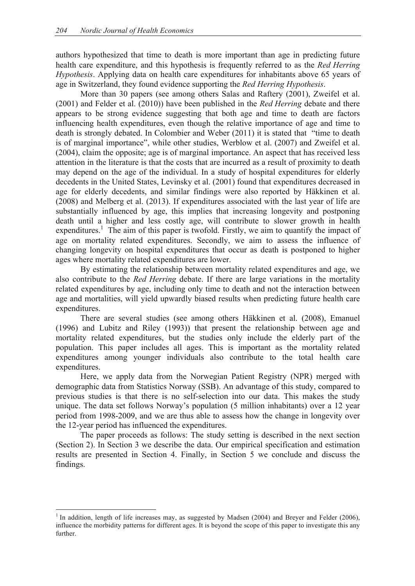authors hypothesized that time to death is more important than age in predicting future health care expenditure, and this hypothesis is frequently referred to as the *Red Herring Hypothesis*. Applying data on health care expenditures for inhabitants above 65 years of age in Switzerland, they found evidence supporting the *Red Herring Hypothesis*.

More than 30 papers (see among others Salas and Raftery (2001), Zweifel et al. (2001) and Felder et al. (2010)) have been published in the *Red Herring* debate and there appears to be strong evidence suggesting that both age and time to death are factors influencing health expenditures, even though the relative importance of age and time to death is strongly debated. In Colombier and Weber (2011) it is stated that "time to death is of marginal importance", while other studies, Werblow et al. (2007) and Zweifel et al. (2004), claim the opposite; age is of marginal importance. An aspect that has received less attention in the literature is that the costs that are incurred as a result of proximity to death may depend on the age of the individual. In a study of hospital expenditures for elderly decedents in the United States, Levinsky et al. (2001) found that expenditures decreased in age for elderly decedents, and similar findings were also reported by Häkkinen et al. (2008) and Melberg et al. (2013). If expenditures associated with the last year of life are substantially influenced by age, this implies that increasing longevity and postponing death until a higher and less costly age, will contribute to slower growth in health expenditures.<sup>1</sup> The aim of this paper is twofold. Firstly, we aim to quantify the impact of age on mortality related expenditures. Secondly, we aim to assess the influence of changing longevity on hospital expenditures that occur as death is postponed to higher ages where mortality related expenditures are lower.

By estimating the relationship between mortality related expenditures and age, we also contribute to the *Red Herring* debate. If there are large variations in the mortality related expenditures by age, including only time to death and not the interaction between age and mortalities, will yield upwardly biased results when predicting future health care expenditures.

There are several studies (see among others Häkkinen et al. (2008), Emanuel (1996) and Lubitz and Riley (1993)) that present the relationship between age and mortality related expenditures, but the studies only include the elderly part of the population. This paper includes all ages. This is important as the mortality related expenditures among younger individuals also contribute to the total health care expenditures.

Here, we apply data from the Norwegian Patient Registry (NPR) merged with demographic data from Statistics Norway (SSB). An advantage of this study, compared to previous studies is that there is no self-selection into our data. This makes the study unique. The data set follows Norway's population (5 million inhabitants) over a 12 year period from 1998-2009, and we are thus able to assess how the change in longevity over the 12-year period has influenced the expenditures.

The paper proceeds as follows: The study setting is described in the next section (Section 2). In Section 3 we describe the data. Our empirical specification and estimation results are presented in Section 4. Finally, in Section 5 we conclude and discuss the findings.

<sup>&</sup>lt;sup>1</sup> In addition, length of life increases may, as suggested by Madsen (2004) and Breyer and Felder (2006), influence the morbidity patterns for different ages. It is beyond the scope of this paper to investigate this any further.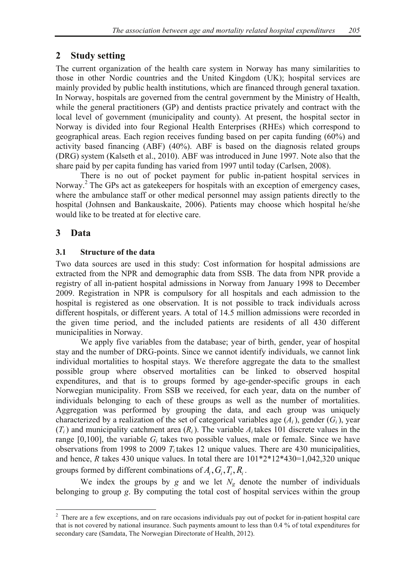## **2 Study setting**

The current organization of the health care system in Norway has many similarities to those in other Nordic countries and the United Kingdom (UK); hospital services are mainly provided by public health institutions, which are financed through general taxation. In Norway, hospitals are governed from the central government by the Ministry of Health, while the general practitioners (GP) and dentists practice privately and contract with the local level of government (municipality and county). At present, the hospital sector in Norway is divided into four Regional Health Enterprises (RHEs) which correspond to geographical areas. Each region receives funding based on per capita funding (60%) and activity based financing (ABF) (40%). ABF is based on the diagnosis related groups (DRG) system (Kalseth et al., 2010). ABF was introduced in June 1997. Note also that the share paid by per capita funding has varied from 1997 until today (Carlsen, 2008).

There is no out of pocket payment for public in-patient hospital services in Norway.<sup>2</sup> The GPs act as gatekeepers for hospitals with an exception of emergency cases, where the ambulance staff or other medical personnel may assign patients directly to the hospital (Johnsen and Bankauskaite, 2006). Patients may choose which hospital he/she would like to be treated at for elective care.

## **3 Data**

## **3.1 Structure of the data**

Two data sources are used in this study: Cost information for hospital admissions are extracted from the NPR and demographic data from SSB. The data from NPR provide a registry of all in-patient hospital admissions in Norway from January 1998 to December 2009. Registration in NPR is compulsory for all hospitals and each admission to the hospital is registered as one observation. It is not possible to track individuals across different hospitals, or different years. A total of 14.5 million admissions were recorded in the given time period, and the included patients are residents of all 430 different municipalities in Norway.

We apply five variables from the database; year of birth, gender, year of hospital stay and the number of DRG-points. Since we cannot identify individuals, we cannot link individual mortalities to hospital stays. We therefore aggregate the data to the smallest possible group where observed mortalities can be linked to observed hospital expenditures, and that is to groups formed by age-gender-specific groups in each Norwegian municipality. From SSB we received, for each year, data on the number of individuals belonging to each of these groups as well as the number of mortalities. Aggregation was performed by grouping the data, and each group was uniquely characterized by a realization of the set of categorical variables age (*Ai*), gender (*Gi*), year  $(T_i)$  and municipality catchment area  $(R_i)$ . The variable  $A_i$  takes 101 discrete values in the range  $[0,100]$ , the variable  $G_i$  takes two possible values, male or female. Since we have observations from 1998 to 2009 *Ti* takes 12 unique values. There are 430 municipalities, and hence, *R* takes 430 unique values. In total there are 101\*2\*12\*430=1,042,320 unique groups formed by different combinations of  $A_i$ ,  $G_i$ ,  $T_i$ ,  $R_i$ .

We index the groups by *g* and we let  $N_g$  denote the number of individuals belonging to group *g*. By computing the total cost of hospital services within the group

<sup>&</sup>lt;sup>2</sup> There are a few exceptions, and on rare occasions individuals pay out of pocket for in-patient hospital care that is not covered by national insurance. Such payments amount to less than 0.4 % of total expenditures for secondary care (Samdata, The Norwegian Directorate of Health, 2012).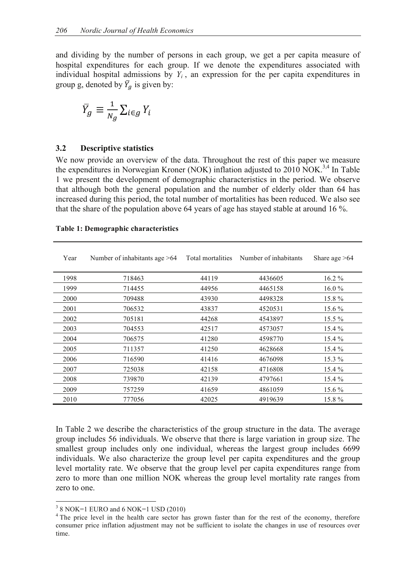and dividing by the number of persons in each group, we get a per capita measure of hospital expenditures for each group. If we denote the expenditures associated with individual hospital admissions by  $Y_i$ , an expression for the per capita expenditures in group g, denoted by  $\overline{Y}_q$  is given by:

$$
\overline{Y}_g \equiv \frac{1}{N_g} \sum_{i \in g} Y_i
$$

### **3.2 Descriptive statistics**

We now provide an overview of the data. Throughout the rest of this paper we measure the expenditures in Norwegian Kroner (NOK) inflation adjusted to 2010 NOK.<sup>3,4</sup> In Table 1 we present the development of demographic characteristics in the period. We observe that although both the general population and the number of elderly older than 64 has increased during this period, the total number of mortalities has been reduced. We also see that the share of the population above 64 years of age has stayed stable at around 16 %.

| Year | Number of inhabitants age $>64$ | Total mortalities | Number of inhabitants | Share age $>64$ |
|------|---------------------------------|-------------------|-----------------------|-----------------|
| 1998 | 718463                          | 44119             | 4436605               | $16.2\%$        |
| 1999 | 714455                          | 44956             | 4465158               | $16.0\%$        |
| 2000 | 709488                          | 43930             | 4498328               | 15.8%           |
| 2001 | 706532                          | 43837             | 4520531               | $15.6\%$        |
| 2002 | 705181                          | 44268             | 4543897               | $15.5\%$        |
| 2003 | 704553                          | 42517             | 4573057               | $15.4\%$        |
| 2004 | 706575                          | 41280             | 4598770               | $15.4\%$        |
| 2005 | 711357                          | 41250             | 4628668               | $15.4\%$        |
| 2006 | 716590                          | 41416             | 4676098               | $15.3\%$        |
| 2007 | 725038                          | 42158             | 4716808               | $15.4\%$        |
| 2008 | 739870                          | 42139             | 4797661               | 15.4 %          |
| 2009 | 757259                          | 41659             | 4861059               | $15.6\%$        |
| 2010 | 777056                          | 42025             | 4919639               | 15.8%           |

### **Table 1: Demographic characteristics**

In Table 2 we describe the characteristics of the group structure in the data. The average group includes 56 individuals. We observe that there is large variation in group size. The smallest group includes only one individual, whereas the largest group includes 6699 individuals. We also characterize the group level per capita expenditures and the group level mortality rate. We observe that the group level per capita expenditures range from zero to more than one million NOK whereas the group level mortality rate ranges from zero to one.

 $3$  8 NOK=1 EURO and 6 NOK=1 USD (2010)

<sup>&</sup>lt;sup>4</sup> The price level in the health care sector has grown faster than for the rest of the economy, therefore consumer price inflation adjustment may not be sufficient to isolate the changes in use of resources over time.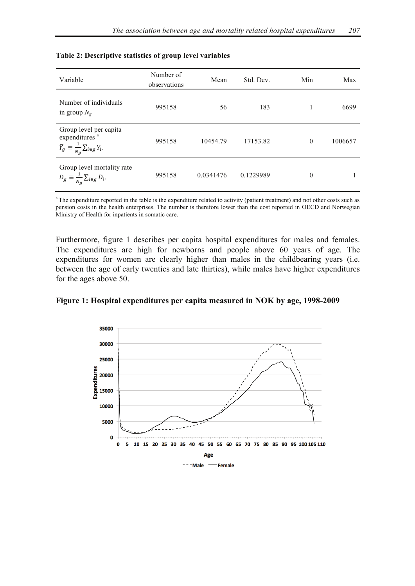| Variable                                                                                                         | Number of<br>observations | Mean      | Std. Dev. | Min      | Max     |
|------------------------------------------------------------------------------------------------------------------|---------------------------|-----------|-----------|----------|---------|
| Number of individuals<br>in group $N_g$                                                                          | 995158                    | 56        | 183       |          | 6699    |
| Group level per capita<br>expenditures <sup>a</sup><br>$\overline{Y}_g \equiv \frac{1}{N_g} \sum_{i \in g} Y_i.$ | 995158                    | 10454.79  | 17153.82  | $\theta$ | 1006657 |
| Group level mortality rate<br>$\label{eq:1Dg} \overline{D}_g \equiv \tfrac{1}{\sqrt{N_g}} \sum_{i \in g} D_i.$   | 995158                    | 0.0341476 | 0.1229989 | $\theta$ |         |

### **Table 2: Descriptive statistics of group level variables**

<sup>a</sup> The expenditure reported in the table is the expenditure related to activity (patient treatment) and not other costs such as pension costs in the health enterprises. The number is therefore lower than the cost reported in OECD and Norwegian Ministry of Health for inpatients in somatic care.

Furthermore, figure 1 describes per capita hospital expenditures for males and females. The expenditures are high for newborns and people above 60 years of age. The expenditures for women are clearly higher than males in the childbearing years (i.e. between the age of early twenties and late thirties), while males have higher expenditures for the ages above 50.



**Figure 1: Hospital expenditures per capita measured in NOK by age, 1998-2009**

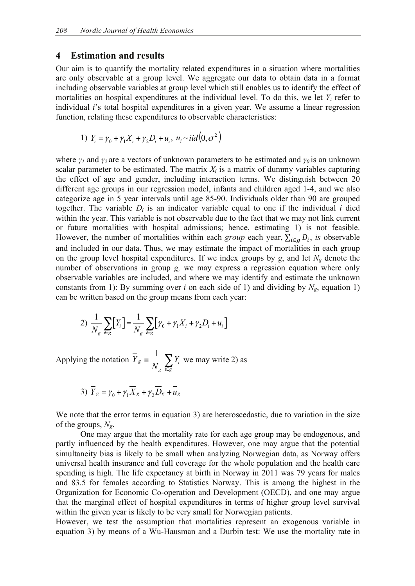### **4 Estimation and results**

Our aim is to quantify the mortality related expenditures in a situation where mortalities are only observable at a group level. We aggregate our data to obtain data in a format including observable variables at group level which still enables us to identify the effect of mortalities on hospital expenditures at the individual level. To do this, we let  $Y_i$  refer to individual *i*'s total hospital expenditures in a given year. We assume a linear regression function, relating these expenditures to observable characteristics:

1) 
$$
Y_i = \gamma_0 + \gamma_1 X_i + \gamma_2 D_i + u_i, u_i \sim \text{i}id(0, \sigma^2)
$$

where *γ<sup>1</sup>* and *γ<sup>2</sup>* are a vectors of unknown parameters to be estimated and *γ0* is an unknown scalar parameter to be estimated. The matrix  $X_i$  is a matrix of dummy variables capturing the effect of age and gender, including interaction terms. We distinguish between 20 different age groups in our regression model, infants and children aged 1-4, and we also categorize age in 5 year intervals until age 85-90. Individuals older than 90 are grouped together. The variable  $D_i$  is an indicator variable equal to one if the individual *i* died within the year. This variable is not observable due to the fact that we may not link current or future mortalities with hospital admissions; hence, estimating 1) is not feasible. However, the number of mortalities within each *group* each year,  $\sum_{i \in q} D_i$ , *is* observable and included in our data. Thus, we may estimate the impact of mortalities in each group on the group level hospital expenditures. If we index groups by  $g$ , and let  $N_g$  denote the number of observations in group *g,* we may express a regression equation where only observable variables are included, and where we may identify and estimate the unknown constants from 1): By summing over *i* on each side of 1) and dividing by  $N_g$ , equation 1) can be written based on the group means from each year:

2) 
$$
\frac{1}{N_g} \sum_{i \in g} [Y_i] = \frac{1}{N_g} \sum_{i \in g} [\gamma_0 + \gamma_1 X_i + \gamma_2 D_i + u_i]
$$

Applying the notation  $Y_g = \frac{1}{N_g} \sum_{k \in S}$ ≡ *i g i g*  $g = \frac{1}{\lambda} \sum Y$ *N*  $\overline{Y}_g = \frac{1}{Y} \sum Y_i$  we may write 2) as

3) 
$$
\overline{Y}_g = \gamma_0 + \gamma_1 \overline{X}_g + \gamma_2 \overline{D}_g + \overline{u}_g
$$

We note that the error terms in equation 3) are heteroscedastic, due to variation in the size of the groups, *Ng*.

One may argue that the mortality rate for each age group may be endogenous, and partly influenced by the health expenditures. However, one may argue that the potential simultaneity bias is likely to be small when analyzing Norwegian data, as Norway offers universal health insurance and full coverage for the whole population and the health care spending is high. The life expectancy at birth in Norway in 2011 was 79 years for males and 83.5 for females according to Statistics Norway. This is among the highest in the Organization for Economic Co-operation and Development (OECD), and one may argue that the marginal effect of hospital expenditures in terms of higher group level survival within the given year is likely to be very small for Norwegian patients.

However, we test the assumption that mortalities represent an exogenous variable in equation 3) by means of a Wu-Hausman and a Durbin test: We use the mortality rate in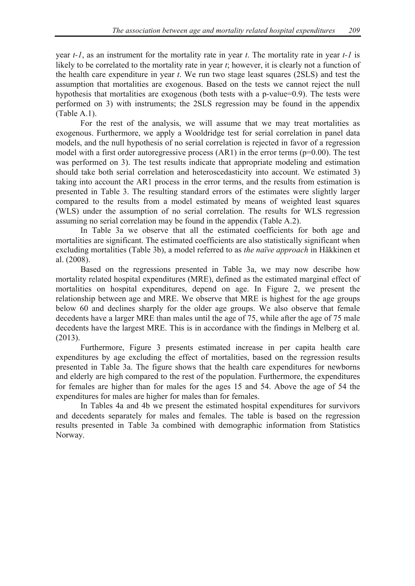year *t-1*, as an instrument for the mortality rate in year *t*. The mortality rate in year *t-1* is likely to be correlated to the mortality rate in year *t*; however, it is clearly not a function of the health care expenditure in year *t*. We run two stage least squares (2SLS) and test the assumption that mortalities are exogenous. Based on the tests we cannot reject the null hypothesis that mortalities are exogenous (both tests with a p-value=0.9). The tests were performed on 3) with instruments; the 2SLS regression may be found in the appendix (Table A.1).

For the rest of the analysis, we will assume that we may treat mortalities as exogenous. Furthermore, we apply a Wooldridge test for serial correlation in panel data models, and the null hypothesis of no serial correlation is rejected in favor of a regression model with a first order autoregressive process  $(AR1)$  in the error terms  $(p=0.00)$ . The test was performed on 3). The test results indicate that appropriate modeling and estimation should take both serial correlation and heteroscedasticity into account. We estimated 3) taking into account the AR1 process in the error terms, and the results from estimation is presented in Table 3. The resulting standard errors of the estimates were slightly larger compared to the results from a model estimated by means of weighted least squares (WLS) under the assumption of no serial correlation. The results for WLS regression assuming no serial correlation may be found in the appendix (Table A.2).

In Table 3a we observe that all the estimated coefficients for both age and mortalities are significant. The estimated coefficients are also statistically significant when excluding mortalities (Table 3b), a model referred to as *the naïve approach* in Häkkinen et al. (2008).

Based on the regressions presented in Table 3a, we may now describe how mortality related hospital expenditures (MRE), defined as the estimated marginal effect of mortalities on hospital expenditures, depend on age. In Figure 2, we present the relationship between age and MRE. We observe that MRE is highest for the age groups below 60 and declines sharply for the older age groups. We also observe that female decedents have a larger MRE than males until the age of 75, while after the age of 75 male decedents have the largest MRE. This is in accordance with the findings in Melberg et al. (2013).

Furthermore, Figure 3 presents estimated increase in per capita health care expenditures by age excluding the effect of mortalities, based on the regression results presented in Table 3a. The figure shows that the health care expenditures for newborns and elderly are high compared to the rest of the population. Furthermore, the expenditures for females are higher than for males for the ages 15 and 54. Above the age of 54 the expenditures for males are higher for males than for females.

In Tables 4a and 4b we present the estimated hospital expenditures for survivors and decedents separately for males and females. The table is based on the regression results presented in Table 3a combined with demographic information from Statistics Norway.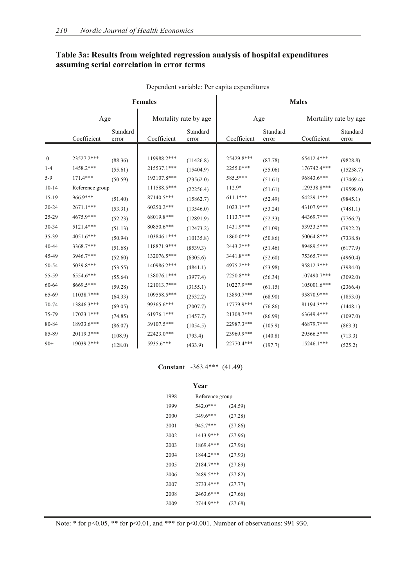| Dependent variable: Per capita expenditures |                             |                    |                              |                        |                          |                    |                            |                        |  |  |
|---------------------------------------------|-----------------------------|--------------------|------------------------------|------------------------|--------------------------|--------------------|----------------------------|------------------------|--|--|
|                                             |                             |                    | <b>Females</b>               |                        | <b>Males</b>             |                    |                            |                        |  |  |
|                                             | Age                         |                    | Mortality rate by age        |                        |                          | Age                | Mortality rate by age      |                        |  |  |
|                                             | Coefficient                 | Standard<br>error  | Coefficient                  | Standard<br>error      | Coefficient              | Standard<br>error  | Coefficient                | Standard<br>error      |  |  |
| $\boldsymbol{0}$                            | 23527.2***                  | (88.36)            | 119988.2***                  | (11426.8)              | 25429.8***               | (87.78)            | 65412.4***                 | (9828.8)               |  |  |
| $1 - 4$<br>$5-9$                            | 1458.2***<br>171.4***       | (55.61)<br>(50.59) | $215537.1***$<br>193107.8*** | (15404.9)<br>(23562.0) | 2255.0***<br>585.5***    | (55.06)<br>(51.61) | 176742.4***<br>96843.6***  | (15258.7)<br>(17469.4) |  |  |
| $10 - 14$<br>15-19                          | Reference group<br>966.9*** | (51.40)            | 111588.5***<br>$87140.5***$  | (22256.4)<br>(15862.7) | 112.9*<br>$611.1***$     | (51.61)<br>(52.49) | 129338.8***<br>64229.1***  | (19598.0)<br>(9845.1)  |  |  |
| 20-24                                       | 2671.1***                   | (53.31)            | 60250.2***                   | (13546.0)              | $1023.1***$              | (53.24)            | 43107.9***                 | (7481.1)               |  |  |
| 25-29<br>30-34                              | 4675.9***<br>5121.4***      | (52.23)<br>(51.13) | 68019.8***<br>$80850.6***$   | (12891.9)<br>(12473.2) | 1113.7***<br>1431.9***   | (52.33)<br>(51.09) | 44369.7***<br>53933.5***   | (7766.7)<br>(7922.2)   |  |  |
| 35-39<br>40-44                              | 4051.6***<br>3368.7***      | (50.94)<br>(51.68) | 103846.1***<br>118871.9***   | (10135.8)<br>(8539.3)  | $1860.0***$<br>2443.2*** | (50.86)<br>(51.46) | $50064.8***$<br>89489.5*** | (7338.8)<br>(6177.9)   |  |  |
| 45-49<br>50-54                              | 3946.7***<br>5039.8***      | (52.60)<br>(53.55) | 132076.5***<br>140986.2***   | (6305.6)<br>(4841.1)   | 3441.8***<br>4975.2***   | (52.60)<br>(53.98) | 75365.7***<br>95812.3***   | (4960.4)<br>(3984.0)   |  |  |
| 55-59<br>60-64                              | 6554.6***<br>8669.5***      | (55.64)            | 138076.1***<br>121013.7***   | (3977.4)               | 7250.8***<br>10227.9***  | (56.34)            | 107490.7***<br>105001.6*** | (3092.0)               |  |  |
| 65-69                                       | 11038.7***                  | (59.28)<br>(64.33) | 109558.5***                  | (3155.1)<br>(2532.2)   | 13890.7***               | (61.15)<br>(68.90) | 95870.9***                 | (2366.4)<br>(1853.0)   |  |  |
| 70-74<br>75-79                              | 13846.3***<br>17023.1***    | (69.05)<br>(74.85) | 99365.6***<br>61976.1***     | (2007.7)<br>(1457.7)   | 17779.9***<br>21308.7*** | (76.86)<br>(86.99) | 81194.3***<br>63649.4***   | (1448.1)<br>(1097.0)   |  |  |
| 80-84<br>85-89                              | 18933.6***<br>20119.3***    | (86.07)<br>(108.9) | 39107.5***<br>22423.0***     | (1054.5)<br>(793.4)    | 22987.3***<br>23969.9*** | (105.9)<br>(140.8) | 46879.7***<br>29566.5***   | (863.3)<br>(713.3)     |  |  |
| $90+$                                       | 19039.2***                  | (128.0)            | 5935.6***                    | (433.9)                | 22770.4***               | (197.7)            | 15246.1***                 | (525.2)                |  |  |

## **Table 3a: Results from weighted regression analysis of hospital expenditures assuming serial correlation in error terms**

#### **Constant** -363.4\*\*\* (41.49)

|      | Year            |         |  |  |  |  |  |  |  |  |
|------|-----------------|---------|--|--|--|--|--|--|--|--|
| 1998 | Reference group |         |  |  |  |  |  |  |  |  |
| 1999 | 542.0***        | (24.59) |  |  |  |  |  |  |  |  |
| 2000 | 349.6***        | (27.28) |  |  |  |  |  |  |  |  |
| 2001 | 945.7***        | (27.86) |  |  |  |  |  |  |  |  |
| 2002 | 1413.9***       | (27.96) |  |  |  |  |  |  |  |  |
| 2003 | 1869.4***       | (27.96) |  |  |  |  |  |  |  |  |
| 2004 | 1844.2***       | (27.93) |  |  |  |  |  |  |  |  |
| 2005 | 2184.7***       | (27.89) |  |  |  |  |  |  |  |  |
| 2006 | 2489.5***       | (27.82) |  |  |  |  |  |  |  |  |
| 2007 | 2733.4***       | (27.77) |  |  |  |  |  |  |  |  |
| 2008 | 2463.6***       | (27.66) |  |  |  |  |  |  |  |  |
| 2009 | 2744.9***       | (27.68) |  |  |  |  |  |  |  |  |
|      |                 |         |  |  |  |  |  |  |  |  |

Note: \* for p<0.05, \*\* for p<0.01, and \*\*\* for p<0.001. Number of observations: 991 930.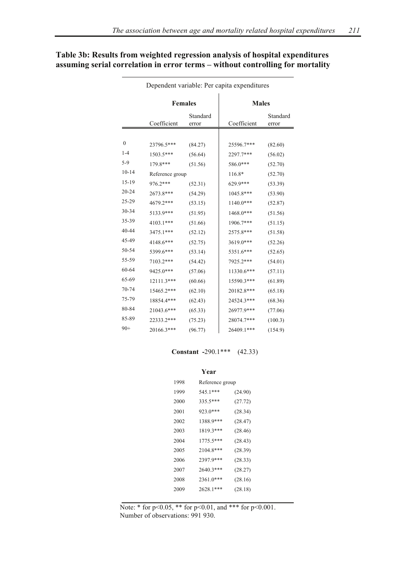|                  |                 | <b>Females</b>    | <b>Males</b> |                   |  |  |
|------------------|-----------------|-------------------|--------------|-------------------|--|--|
|                  | Coefficient     | Standard<br>error | Coefficient  | Standard<br>error |  |  |
|                  |                 |                   |              |                   |  |  |
| $\boldsymbol{0}$ | 23796.5***      | (84.27)           | 25596.7***   | (82.60)           |  |  |
| $1 - 4$          | 1503.5***       | (56.64)           | 2297.7***    | (56.02)           |  |  |
| $5-9$            | 179.8***        | (51.56)           | 586.0***     | (52.70)           |  |  |
| $10 - 14$        | Reference group |                   | 116.8*       | (52.70)           |  |  |
| $15 - 19$        | 976.2***        | (52.31)           | 629.9***     | (53.39)           |  |  |
| $20 - 24$        | 2673.8***       | (54.29)           | 1045.8***    | (53.90)           |  |  |
| 25-29            | 4679.2***       | (53.15)           | 1140.0***    | (52.87)           |  |  |
| 30-34            | 5133.9***       | (51.95)           | 1468.0***    | (51.56)           |  |  |
| 35-39            | 4103.1***       | (51.66)           | 1906.7***    | (51.15)           |  |  |
| 40-44            | 3475.1***       | (52.12)           | 2575.8***    | (51.58)           |  |  |
| 45-49            | 4148.6***       | (52.75)           | 3619.0***    | (52.26)           |  |  |
| 50-54            | 5399.6***       | (53.14)           | 5351.6***    | (52.65)           |  |  |
| 55-59            | 7103.2***       | (54.42)           | 7925.2***    | (54.01)           |  |  |
| 60-64            | 9425.0***       | (57.06)           | 11330.6***   | (57.11)           |  |  |
| 65-69            | 12111.3***      | (60.66)           | 15590.3***   | (61.89)           |  |  |
| 70-74            | 15465.2***      | (62.10)           | 20182.8***   | (65.18)           |  |  |
| 75-79            | 18854.4***      | (62.43)           | 24524.3***   | (68.36)           |  |  |
| 80-84            | 21043.6***      | (65.33)           | 26977.9***   | (77.06)           |  |  |
| 85-89            | 22333.2***      | (75.23)           | 28074.7***   | (100.3)           |  |  |
| $90+$            | 20166.3***      | (96.77)           | 26409.1***   | (154.9)           |  |  |

## **Table 3b: Results from weighted regression analysis of hospital expenditures assuming serial correlation in error terms – without controlling for mortality**

Dependent variable: Per capita expenditures

#### **Constant -**290.1\*\*\* (42.33)

#### **Year**

| 1998 | Reference group |         |
|------|-----------------|---------|
| 1999 | 545.1***        | (24.90) |
| 2000 | 335.5***        | (27.72) |
| 2001 | 923.0***        | (28.34) |
| 2002 | 1388.9***       | (28.47) |
| 2003 | 1819.3***       | (28.46) |
| 2004 | 1775.5***       | (28.43) |
| 2005 | $2104.8***$     | (28.39) |
| 2006 | 2397.9***       | (28.33) |
| 2007 | 2640.3***       | (28.27) |
| 2008 | 2361.0***       | (28.16) |
| 2009 | 2628.1***       | (28.18) |
|      |                 |         |

Note: \* for p<0.05, \*\* for p<0.01, and \*\*\* for p<0.001. Number of observations: 991 930.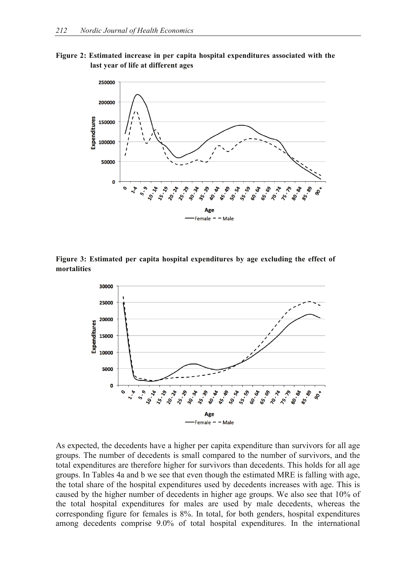**Figure 2: Estimated increase in per capita hospital expenditures associated with the last year of life at different ages**



**Figure 3: Estimated per capita hospital expenditures by age excluding the effect of mortalities**



As expected, the decedents have a higher per capita expenditure than survivors for all age groups. The number of decedents is small compared to the number of survivors, and the total expenditures are therefore higher for survivors than decedents. This holds for all age groups. In Tables 4a and b we see that even though the estimated MRE is falling with age, the total share of the hospital expenditures used by decedents increases with age. This is caused by the higher number of decedents in higher age groups. We also see that 10% of the total hospital expenditures for males are used by male decedents, whereas the corresponding figure for females is 8%. In total, for both genders, hospital expenditures among decedents comprise 9.0% of total hospital expenditures. In the international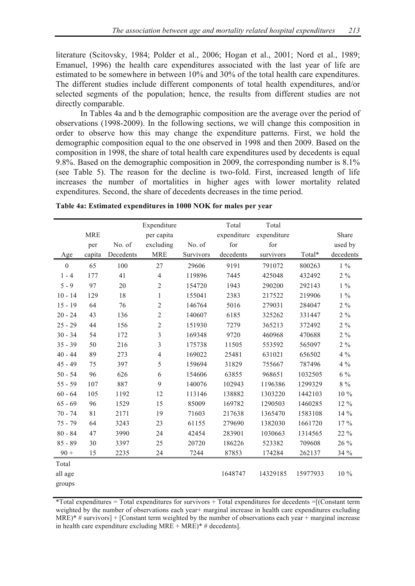literature (Scitovsky, 1984; Polder et al., 2006; Hogan et al., 2001; Nord et al., 1989; Emanuel, 1996) the health care expenditures associated with the last year of life are estimated to be somewhere in between 10% and 30% of the total health care expenditures. The different studies include different components of total health expenditures, and/or selected segments of the population; hence, the results from different studies are not directly comparable.

In Tables 4a and b the demographic composition are the average over the period of observations (1998-2009). In the following sections, we will change this composition in order to observe how this may change the expenditure patterns. First, we hold the demographic composition equal to the one observed in 1998 and then 2009. Based on the composition in 1998, the share of total health care expenditures used by decedents is equal 9.8%. Based on the demographic composition in 2009, the corresponding number is 8.1% (see Table 5). The reason for the decline is two-fold. First, increased length of life increases the number of mortalities in higher ages with lower mortality related expenditures. Second, the share of decedents decreases in the time period.

|            | Expenditure |                | Total     | Total       |             |          |           |
|------------|-------------|----------------|-----------|-------------|-------------|----------|-----------|
| <b>MRE</b> |             | per capita     |           | expenditure | expenditure |          | Share     |
| per        | No. of      | excluding      | No. of    | for         | for         |          | used by   |
| capita     | Decedents   | <b>MRE</b>     | Survivors | decedents   | survivors   | Total*   | decedents |
| 65         | 100         | 27             | 29606     | 9191        | 791072      | 800263   | $1\%$     |
| 177        | 41          | $\overline{4}$ | 119896    | 7445        | 425048      | 432492   | $2\%$     |
| 97         | 20          | $\overline{2}$ | 154720    | 1943        | 290200      | 292143   | $1\%$     |
| 129        | 18          | 1              | 155041    | 2383        | 217522      | 219906   | $1\%$     |
| 64         | 76          | $\overline{2}$ | 146764    | 5016        | 279031      | 284047   | $2\%$     |
| 43         | 136         | $\overline{2}$ | 140607    | 6185        | 325262      | 331447   | $2\%$     |
| 44         | 156         | $\overline{2}$ | 151930    | 7279        | 365213      | 372492   | $2\%$     |
| 54         | 172         | 3              | 169348    | 9720        | 460968      | 470688   | $2\%$     |
| 50         | 216         | 3              | 175738    | 11505       | 553592      | 565097   | $2\%$     |
| 89         | 273         | $\overline{4}$ | 169022    | 25481       | 631021      | 656502   | $4\%$     |
| 75         | 397         | 5              | 159694    | 31829       | 755667      | 787496   | $4\%$     |
| 96         | 626         | 6              | 154606    | 63855       | 968651      | 1032505  | $6\%$     |
| 107        | 887         | 9              | 140076    | 102943      | 1196386     | 1299329  | $8\%$     |
| 105        | 1192        | 12             | 113146    | 138882      | 1303220     | 1442103  | 10 %      |
| 96         | 1529        | 15             | 85009     | 169782      | 1290503     | 1460285  | 12 %      |
| 81         | 2171        | 19             | 71603     | 217638      | 1365470     | 1583108  | 14 %      |
| 64         | 3243        | 23             | 61155     | 279690      | 1382030     | 1661720  | 17%       |
| 47         | 3990        | 24             | 42454     | 283901      | 1030663     | 1314565  | 22 %      |
| 30         | 3397        | 25             | 20720     | 186226      | 523382      | 709608   | 26 %      |
| 15         | 2235        | 24             | 7244      | 87853       | 174284      | 262137   | 34 %      |
|            |             |                |           |             |             |          |           |
|            |             |                |           | 1648747     | 14329185    | 15977933 | 10 %      |
|            |             |                |           |             |             |          |           |
|            |             |                |           |             |             |          |           |

**Table 4a: Estimated expenditures in 1000 NOK for males per year**

 $*Total$  expenditures = Total expenditures for survivors  $+$  Total expenditures for decedents = [(Constant term weighted by the number of observations each year+ marginal increase in health care expenditures excluding  $MRE$ <sup>\*</sup> # survivors] + [Constant term weighted by the number of observations each year + marginal increase in health care expenditure excluding  $MRE + MRE$ <sup>\*</sup> # decedents].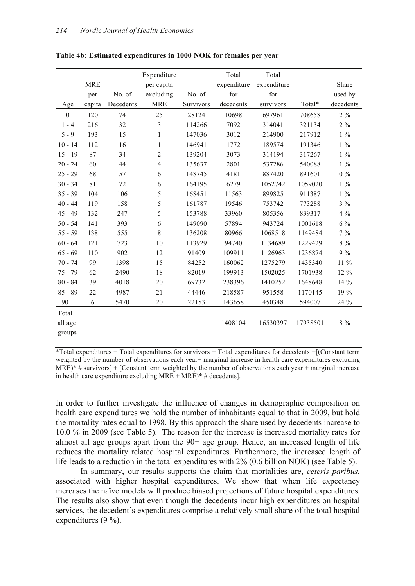|                  |            |           | Expenditure    |           | Total       | Total       |          |           |
|------------------|------------|-----------|----------------|-----------|-------------|-------------|----------|-----------|
|                  | <b>MRE</b> |           | per capita     |           | expenditure | expenditure |          | Share     |
|                  | per        | No. of    | excluding      | No. of    | for         | for         |          | used by   |
| Age              | capita     | Decedents | <b>MRE</b>     | Survivors | decedents   | survivors   | Total*   | decedents |
| $\boldsymbol{0}$ | 120        | 74        | 25             | 28124     | 10698       | 697961      | 708658   | $2\%$     |
| $1 - 4$          | 216        | 32        | $\overline{3}$ | 114266    | 7092        | 314041      | 321134   | $2\%$     |
| $5 - 9$          | 193        | 15        | $\mathbf{1}$   | 147036    | 3012        | 214900      | 217912   | $1\%$     |
| $10 - 14$        | 112        | 16        | 1              | 146941    | 1772        | 189574      | 191346   | $1\%$     |
| $15 - 19$        | 87         | 34        | $\overline{2}$ | 139204    | 3073        | 314194      | 317267   | $1\%$     |
| $20 - 24$        | 60         | 44        | $\overline{4}$ | 135637    | 2801        | 537286      | 540088   | $1\%$     |
| $25 - 29$        | 68         | 57        | 6              | 148745    | 4181        | 887420      | 891601   | $0\%$     |
| $30 - 34$        | 81         | 72        | 6              | 164195    | 6279        | 1052742     | 1059020  | $1\%$     |
| $35 - 39$        | 104        | 106       | 5              | 168451    | 11563       | 899825      | 911387   | $1\%$     |
| $40 - 44$        | 119        | 158       | 5              | 161787    | 19546       | 753742      | 773288   | $3\%$     |
| $45 - 49$        | 132        | 247       | 5              | 153788    | 33960       | 805356      | 839317   | $4\%$     |
| $50 - 54$        | 141        | 393       | 6              | 149090    | 57894       | 943724      | 1001618  | $6\%$     |
| $55 - 59$        | 138        | 555       | 8              | 136208    | 80966       | 1068518     | 1149484  | $7\%$     |
| $60 - 64$        | 121        | 723       | 10             | 113929    | 94740       | 1134689     | 1229429  | $8\%$     |
| $65 - 69$        | 110        | 902       | 12             | 91409     | 109911      | 1126963     | 1236874  | 9%        |
| $70 - 74$        | 99         | 1398      | 15             | 84252     | 160062      | 1275279     | 1435340  | 11 %      |
| $75 - 79$        | 62         | 2490      | 18             | 82019     | 199913      | 1502025     | 1701938  | 12 %      |
| $80 - 84$        | 39         | 4018      | 20             | 69732     | 238396      | 1410252     | 1648648  | 14 %      |
| $85 - 89$        | 22         | 4987      | 21             | 44446     | 218587      | 951558      | 1170145  | 19 %      |
| $90 +$           | 6          | 5470      | 20             | 22153     | 143658      | 450348      | 594007   | 24 %      |
| Total            |            |           |                |           |             |             |          |           |
| all age          |            |           |                |           | 1408104     | 16530397    | 17938501 | $8\%$     |
| groups           |            |           |                |           |             |             |          |           |

#### **Table 4b: Estimated expenditures in 1000 NOK for females per year**

 $*Total expenditures = Total expenditures for survives + Total expenditures for the two vertices of the vertices.$ weighted by the number of observations each year+ marginal increase in health care expenditures excluding  $MRE$ <sup>\*</sup> # survivors] + [Constant term weighted by the number of observations each year + marginal increase in health care expenditure excluding  $MRE + MRE$ <sup>\*</sup> # decedents].

In order to further investigate the influence of changes in demographic composition on health care expenditures we hold the number of inhabitants equal to that in 2009, but hold the mortality rates equal to 1998. By this approach the share used by decedents increase to 10.0 % in 2009 (see Table 5). The reason for the increase is increased mortality rates for almost all age groups apart from the 90+ age group. Hence, an increased length of life reduces the mortality related hospital expenditures. Furthermore, the increased length of life leads to a reduction in the total expenditures with 2% (0.6 billion NOK) (see Table 5).

In summary, our results supports the claim that mortalities are, *ceteris paribus*, associated with higher hospital expenditures. We show that when life expectancy increases the naïve models will produce biased projections of future hospital expenditures. The results also show that even though the decedents incur high expenditures on hospital services, the decedent's expenditures comprise a relatively small share of the total hospital expenditures (9 %).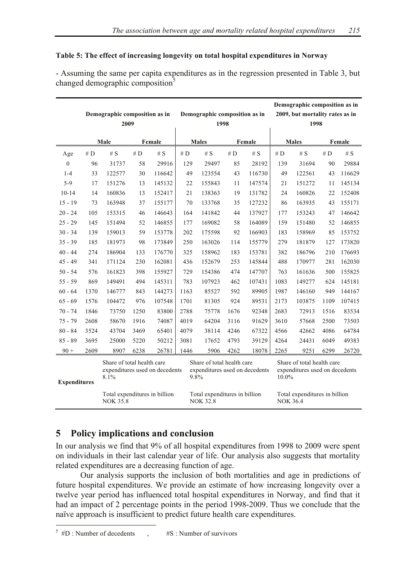### **Table 5: The effect of increasing longevity on total hospital expenditures in Norway**

- Assuming the same per capita expenditures as in the regression presented in Table 3, but changed demographic composition<sup>5</sup>

|                     | Demographic composition as in<br>2009 |                                                                      |       |                        |       | Demographic composition as in<br>1998                                |              |        | Demographic composition as in<br>2009, but mortality rates as in<br>1998 |                               |        |        |
|---------------------|---------------------------------------|----------------------------------------------------------------------|-------|------------------------|-------|----------------------------------------------------------------------|--------------|--------|--------------------------------------------------------------------------|-------------------------------|--------|--------|
|                     | Male<br>Female                        |                                                                      |       | <b>Males</b><br>Female |       |                                                                      | <b>Males</b> |        |                                                                          | Female                        |        |        |
| Age                 | $\#$ D                                | # $S$                                                                | # $D$ | # $S$                  | # $D$ | # $S$                                                                | # $D$        | # $S$  | # $D$                                                                    | # $S$                         | $\#$ D | # $S$  |
| $\theta$            | 96                                    | 31737                                                                | 58    | 29916                  | 129   | 29497                                                                | 85           | 28192  | 139                                                                      | 31694                         | 90     | 29884  |
| $1 - 4$             | 33                                    | 122577                                                               | 30    | 116642                 | 49    | 123554                                                               | 43           | 116730 | 49                                                                       | 122561                        | 43     | 116629 |
| $5-9$               | 17                                    | 151276                                                               | 13    | 145132                 | 22    | 155843                                                               | 11           | 147574 | 21                                                                       | 151272                        | 11     | 145134 |
| $10 - 14$           | 14                                    | 160836                                                               | 13    | 152417                 | 21    | 138363                                                               | 19           | 131782 | 24                                                                       | 160826                        | 22     | 152408 |
| $15 - 19$           | 73                                    | 163948                                                               | 37    | 155177                 | 70    | 133768                                                               | 35           | 127232 | 86                                                                       | 163935                        | 43     | 155171 |
| $20 - 24$           | 105                                   | 153315                                                               | 46    | 146643                 | 164   | 141842                                                               | 44           | 137927 | 177                                                                      | 153243                        | 47     | 146642 |
| $25 - 29$           | 145                                   | 151494                                                               | 52    | 146855                 | 177   | 169082                                                               | 58           | 164089 | 159                                                                      | 151480                        | 52     | 146855 |
| $30 - 34$           | 139                                   | 159013                                                               | 59    | 153778                 | 202   | 175598                                                               | 92           | 166903 | 183                                                                      | 158969                        | 85     | 153752 |
| $35 - 39$           | 185                                   | 181973                                                               | 98    | 173849                 | 250   | 163026                                                               | 114          | 155779 | 279                                                                      | 181879                        | 127    | 173820 |
| $40 - 44$           | 274                                   | 186904                                                               | 133   | 176770                 | 325   | 158962                                                               | 183          | 153781 | 382                                                                      | 186796                        | 210    | 176693 |
| $45 - 49$           | 341                                   | 171124                                                               | 230   | 162081                 | 436   | 152679                                                               | 253          | 145844 | 488                                                                      | 170977                        | 281    | 162030 |
| $50 - 54$           | 576                                   | 161823                                                               | 398   | 155927                 | 729   | 154386                                                               | 474          | 147707 | 763                                                                      | 161636                        | 500    | 155825 |
| $55 - 59$           | 869                                   | 149491                                                               | 494   | 145311                 | 783   | 107923                                                               | 462          | 107431 | 1083                                                                     | 149277                        | 624    | 145181 |
| $60 - 64$           | 1370                                  | 146777                                                               | 843   | 144273                 | 1163  | 85527                                                                | 592          | 89905  | 1987                                                                     | 146160                        | 949    | 144167 |
| $65 - 69$           | 1576                                  | 104472                                                               | 976   | 107548                 | 1701  | 81305                                                                | 924          | 89531  | 2173                                                                     | 103875                        | 1109   | 107415 |
| $70 - 74$           | 1846                                  | 73750                                                                | 1250  | 83800                  | 2788  | 75778                                                                | 1676         | 92348  | 2683                                                                     | 72913                         | 1516   | 83534  |
| $75 - 79$           | 2608                                  | 58670                                                                | 1916  | 74087                  | 4019  | 64204                                                                | 3116         | 91629  | 3610                                                                     | 57668                         | 2500   | 73503  |
| $80 - 84$           | 3524                                  | 43704                                                                | 3469  | 65401                  | 4079  | 38114                                                                | 4246         | 67322  | 4566                                                                     | 42662                         | 4086   | 64784  |
| $85 - 89$           | 3695                                  | 25000                                                                | 5220  | 50212                  | 3081  | 17652                                                                | 4793         | 39129  | 4264                                                                     | 24431                         | 6049   | 49383  |
| $90 +$              | 2609                                  | 8907                                                                 | 6238  | 26781                  | 1446  | 5906                                                                 | 4262         | 18078  | 2265                                                                     | 9251                          | 6299   | 26720  |
| <b>Expenditures</b> |                                       | Share of total health care<br>expenditures used on decedents<br>8.1% |       |                        |       | Share of total health care<br>expenditures used on decedents<br>9.8% |              |        | Share of total health care<br>expenditures used on decedents<br>10.0%    |                               |        |        |
|                     |                                       | Total expenditures in billion<br><b>NOK 35.8</b>                     |       |                        |       | Total expenditures in billion<br><b>NOK 32.8</b>                     |              |        | <b>NOK 36.4</b>                                                          | Total expenditures in billion |        |        |

## **5 Policy implications and conclusion**

In our analysis we find that 9% of all hospital expenditures from 1998 to 2009 were spent on individuals in their last calendar year of life. Our analysis also suggests that mortality related expenditures are a decreasing function of age.

Our analysis supports the inclusion of both mortalities and age in predictions of future hospital expenditures. We provide an estimate of how increasing longevity over a twelve year period has influenced total hospital expenditures in Norway, and find that it had an impact of 2 percentage points in the period 1998-2009. Thus we conclude that the naïve approach is insufficient to predict future health care expenditures.

 $5 \#D$ : Number of decedents  $\qquad \qquad$  #S : Number of survivors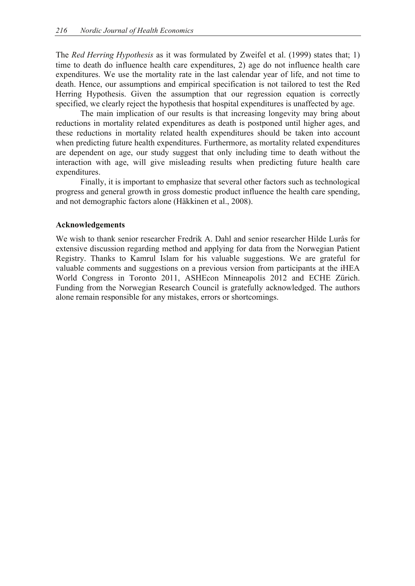The *Red Herring Hypothesis* as it was formulated by Zweifel et al. (1999) states that; 1) time to death do influence health care expenditures, 2) age do not influence health care expenditures. We use the mortality rate in the last calendar year of life, and not time to death. Hence, our assumptions and empirical specification is not tailored to test the Red Herring Hypothesis. Given the assumption that our regression equation is correctly specified, we clearly reject the hypothesis that hospital expenditures is unaffected by age.

The main implication of our results is that increasing longevity may bring about reductions in mortality related expenditures as death is postponed until higher ages, and these reductions in mortality related health expenditures should be taken into account when predicting future health expenditures. Furthermore, as mortality related expenditures are dependent on age, our study suggest that only including time to death without the interaction with age, will give misleading results when predicting future health care expenditures.

Finally, it is important to emphasize that several other factors such as technological progress and general growth in gross domestic product influence the health care spending, and not demographic factors alone (Häkkinen et al., 2008).

### **Acknowledgements**

We wish to thank senior researcher Fredrik A. Dahl and senior researcher Hilde Lurås for extensive discussion regarding method and applying for data from the Norwegian Patient Registry. Thanks to Kamrul Islam for his valuable suggestions. We are grateful for valuable comments and suggestions on a previous version from participants at the iHEA World Congress in Toronto 2011, ASHEcon Minneapolis 2012 and ECHE Zürich. Funding from the Norwegian Research Council is gratefully acknowledged. The authors alone remain responsible for any mistakes, errors or shortcomings.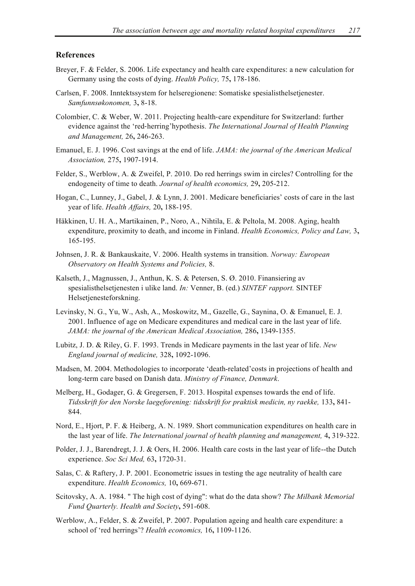### **References**

- Breyer, F. & Felder, S. 2006. Life expectancy and health care expenditures: a new calculation for Germany using the costs of dying. *Health Policy,* 75**,** 178-186.
- Carlsen, F. 2008. Inntektssystem for helseregionene: Somatiske spesialisthelsetjenester. *Samfunnsøkonomen,* 3**,** 8-18.
- Colombier, C. & Weber, W. 2011. Projecting health-care expenditure for Switzerland: further evidence against the 'red-herring'hypothesis. *The International Journal of Health Planning and Management,* 26**,** 246-263.
- Emanuel, E. J. 1996. Cost savings at the end of life. *JAMA: the journal of the American Medical Association,* 275**,** 1907-1914.
- Felder, S., Werblow, A. & Zweifel, P. 2010. Do red herrings swim in circles? Controlling for the endogeneity of time to death. *Journal of health economics,* 29**,** 205-212.
- Hogan, C., Lunney, J., Gabel, J. & Lynn, J. 2001. Medicare beneficiaries' costs of care in the last year of life. *Health Affairs,* 20**,** 188-195.
- Häkkinen, U. H. A., Martikainen, P., Noro, A., Nihtila, E. & Peltola, M. 2008. Aging, health expenditure, proximity to death, and income in Finland. *Health Economics, Policy and Law,* 3**,** 165-195.
- Johnsen, J. R. & Bankauskaite, V. 2006. Health systems in transition. *Norway: European Observatory on Health Systems and Policies,* 8.
- Kalseth, J., Magnussen, J., Anthun, K. S. & Petersen, S. Ø. 2010. Finansiering av spesialisthelsetjenesten i ulike land. *In:* Venner, B. (ed.) *SINTEF rapport.* SINTEF Helsetjenesteforskning.
- Levinsky, N. G., Yu, W., Ash, A., Moskowitz, M., Gazelle, G., Saynina, O. & Emanuel, E. J. 2001. Influence of age on Medicare expenditures and medical care in the last year of life. *JAMA: the journal of the American Medical Association,* 286**,** 1349-1355.
- Lubitz, J. D. & Riley, G. F. 1993. Trends in Medicare payments in the last year of life. *New England journal of medicine,* 328**,** 1092-1096.
- Madsen, M. 2004. Methodologies to incorporate 'death-related'costs in projections of health and long-term care based on Danish data. *Ministry of Finance, Denmark*.
- Melberg, H., Godager, G. & Gregersen, F. 2013. Hospital expenses towards the end of life. *Tidsskrift for den Norske laegeforening: tidsskrift for praktisk medicin, ny raekke,* 133**,** 841- 844.
- Nord, E., Hjort, P. F. & Heiberg, A. N. 1989. Short communication expenditures on health care in the last year of life. *The International journal of health planning and management,* 4**,** 319-322.
- Polder, J. J., Barendregt, J. J. & Oers, H. 2006. Health care costs in the last year of life--the Dutch experience. *Soc Sci Med,* 63**,** 1720-31.
- Salas, C. & Raftery, J. P. 2001. Econometric issues in testing the age neutrality of health care expenditure. *Health Economics,* 10**,** 669-671.
- Scitovsky, A. A. 1984. " The high cost of dying": what do the data show? *The Milbank Memorial Fund Quarterly. Health and Society***,** 591-608.
- Werblow, A., Felder, S. & Zweifel, P. 2007. Population ageing and health care expenditure: a school of 'red herrings'? *Health economics,* 16**,** 1109-1126.